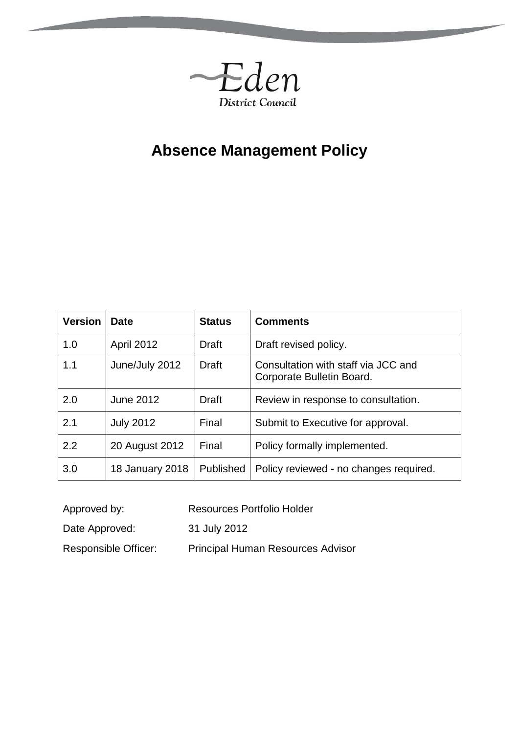

# **Absence Management Policy**

| <b>Version</b> | <b>Date</b>      | <b>Status</b> | <b>Comments</b>                                                  |
|----------------|------------------|---------------|------------------------------------------------------------------|
| 1.0            | April 2012       | <b>Draft</b>  | Draft revised policy.                                            |
| 1.1            | June/July 2012   | <b>Draft</b>  | Consultation with staff via JCC and<br>Corporate Bulletin Board. |
| 2.0            | June 2012        | <b>Draft</b>  | Review in response to consultation.                              |
| 2.1            | <b>July 2012</b> | Final         | Submit to Executive for approval.                                |
| 2.2            | 20 August 2012   | Final         | Policy formally implemented.                                     |
| 3.0            | 18 January 2018  | Published     | Policy reviewed - no changes required.                           |

- Approved by: Resources Portfolio Holder
- Date Approved: 31 July 2012
- Responsible Officer: Principal Human Resources Advisor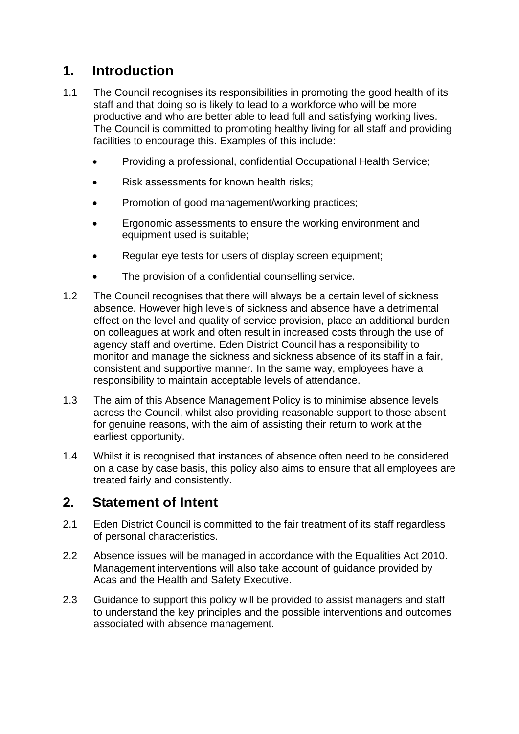### **1. Introduction**

- 1.1 The Council recognises its responsibilities in promoting the good health of its staff and that doing so is likely to lead to a workforce who will be more productive and who are better able to lead full and satisfying working lives. The Council is committed to promoting healthy living for all staff and providing facilities to encourage this. Examples of this include:
	- Providing a professional, confidential Occupational Health Service;
	- Risk assessments for known health risks;
	- Promotion of good management/working practices;
	- **Example 3** Ergonomic assessments to ensure the working environment and equipment used is suitable;
	- Regular eye tests for users of display screen equipment;
	- The provision of a confidential counselling service.
- 1.2 The Council recognises that there will always be a certain level of sickness absence. However high levels of sickness and absence have a detrimental effect on the level and quality of service provision, place an additional burden on colleagues at work and often result in increased costs through the use of agency staff and overtime. Eden District Council has a responsibility to monitor and manage the sickness and sickness absence of its staff in a fair, consistent and supportive manner. In the same way, employees have a responsibility to maintain acceptable levels of attendance.
- 1.3 The aim of this Absence Management Policy is to minimise absence levels across the Council, whilst also providing reasonable support to those absent for genuine reasons, with the aim of assisting their return to work at the earliest opportunity.
- 1.4 Whilst it is recognised that instances of absence often need to be considered on a case by case basis, this policy also aims to ensure that all employees are treated fairly and consistently.

#### **2. Statement of Intent**

- 2.1 Eden District Council is committed to the fair treatment of its staff regardless of personal characteristics.
- 2.2 Absence issues will be managed in accordance with the Equalities Act 2010. Management interventions will also take account of guidance provided by Acas and the Health and Safety Executive.
- 2.3 Guidance to support this policy will be provided to assist managers and staff to understand the key principles and the possible interventions and outcomes associated with absence management.